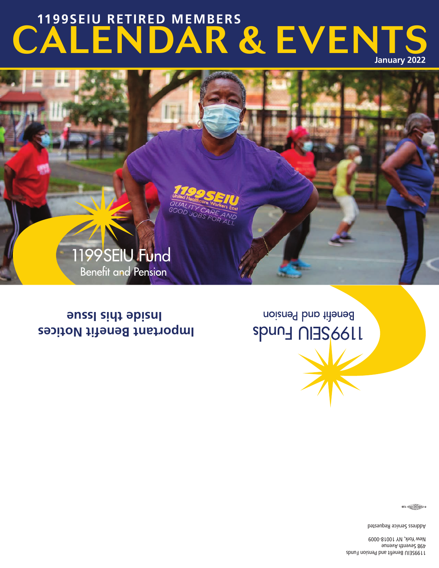1199SEIU Benefit and Pension Funds 498 Seventh Avenue New York, NY 10018-0009

Address Service Requested

 $\frac{1}{2}$  (and  $\frac{1}{2}$  )  $\frac{1}{2}$  )  $\frac{1}{2}$ 

**Important Benefit Notices Inside this Issue**

Benefit and Pension **SPUN HUMS** 



# CALENDAR & EVENTS **January 2022 1199SEIU RETIRED MEMBERS**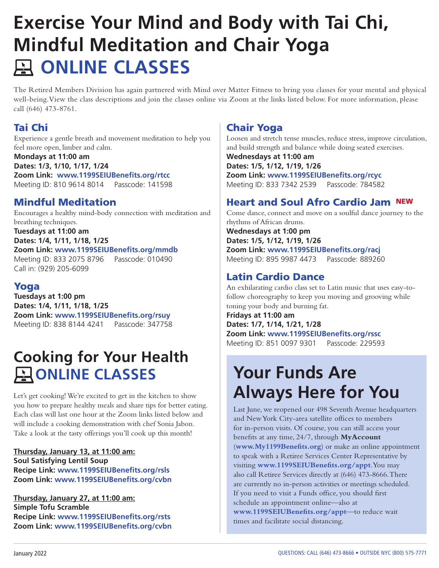## **Exercise Your Mind and Body with Tai Chi, Mindful Meditation and Chair Yoga ONLINE CLASSES**

The Retired Members Division has again partnered with Mind over Matter Fitness to bring you classes for your mental and physical well-being. View the class descriptions and join the classes online via Zoom at the links listed below. For more information, please call (646) 473-8761.

## Tai Chi

Experience a gentle breath and movement meditation to help you feel more open, limber and calm.

**Mondays at 11:00 am Dates: 1/3, 1/10, 1/17, 1/24 Zoom Link: www.1199SEIUBenefits.org/rtcc**  Meeting ID: 810 9614 8014 Passcode: 141598

## Mindful Meditation

Encourages a healthy mind-body connection with meditation and breathing techniques. **Tuesdays at 11:00 am Dates: 1/4, 1/11, 1/18, 1/25 Zoom Link: www.1199SEIUBenefits.org/mmdb**  Meeting ID: 833 2075 8796 Passcode: 010490 Call in: (929) 205-6099

## Yoga

**Tuesdays at 1:00 pm Dates: 1/4, 1/11, 1/18, 1/25 Zoom Link: www.1199SEIUBenefits.org/rsuy**  Meeting ID: 838 8144 4241 Passcode: 347758

## **Cooking for Your Health AONLINE CLASSES**

Let's get cooking! We're excited to get in the kitchen to show you how to prepare healthy meals and share tips for better eating. Each class will last one hour at the Zoom links listed below and will include a cooking demonstration with chef Sonia Jabon. Take a look at the tasty offerings you'll cook up this month!

**Thursday, January 13, at 11:00 am: Soul Satisfying Lentil Soup Recipe Link: www.1199SEIUBenefits.org/rsls Zoom Link: www.1199SEIUBenefits.org/cvbn** 

**Thursday, January 27, at 11:00 am: Simple Tofu Scramble Recipe Link: www.1199SEIUBenefits.org/rsts Zoom Link: www.1199SEIUBenefits.org/cvbn** 

### Chair Yoga

Loosen and stretch tense muscles, reduce stress, improve circulation, and build strength and balance while doing seated exercises.

**Wednesdays at 11:00 am Dates: 1/5, 1/12, 1/19, 1/26 Zoom Link: www.1199SEIUBenefits.org/rcyc**  Meeting ID: 833 7342 2539 Passcode: 784582

## Heart and Soul Afro Cardio Jam NEW

Come dance, connect and move on a soulful dance journey to the rhythms of African drums. **Wednesdays at 1:00 pm Dates: 1/5, 1/12, 1/19, 1/26 Zoom Link: www.1199SEIUBenefits.org/racj**  Meeting ID: 895 9987 4473 Passcode: 889260

### Latin Cardio Dance

An exhilarating cardio class set to Latin music that uses easy-tofollow choreography to keep you moving and grooving while toning your body and burning fat.

**Fridays at 11:00 am Dates: 1/7, 1/14, 1/21, 1/28 Zoom Link: www.1199SEIUBenefits.org/rssc**  Meeting ID: 851 0097 9301 Passcode: 229593

## **Your Funds Are Always Here for You**

Last June, we reopened our 498 Seventh Avenue headquarters and New York City-area satellite offices to members for in-person visits. Of course, you can still access your benefits at any time, 24/7, through **MyAccount** (**www.My1199Benefits.org**) or make an online appointment to speak with a Retiree Services Center Representative by visiting **www.1199SEIUBenefits.org/appt**. You may also call Retiree Services directly at (646) 473-8666. There are currently no in-person activities or meetings scheduled. If you need to visit a Funds office, you should first schedule an appointment online—also at **www.1199SEIUBenefits.org/appt**—to reduce wait times and facilitate social distancing.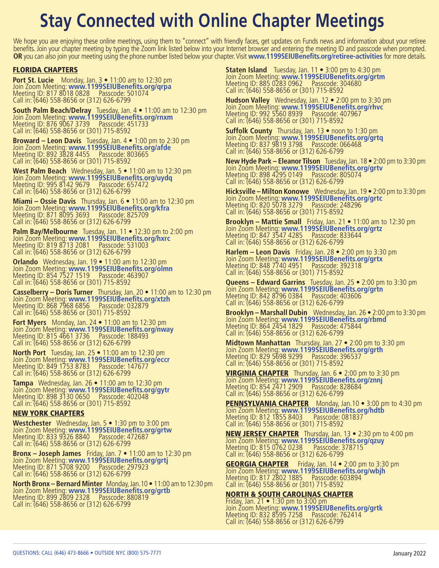## **Stay Connected with Online Chapter Meetings**

We hope you are enjoying these online meetings, using them to "connect" with friendly faces, get updates on Funds news and information about your retiree benefits. Join your chapter meeting by typing the Zoom link listed below into your Internet browser and entering the meeting ID and passcode when prompted. **OR** you can also join your meeting using the phone number listed below your chapter. Visit **www.1199SEIUBenefits.org/retiree-activities** for more details.

#### FLORIDA CHAPTERS

**Port St. Lucie** Monday, Jan. 3 • 11:00 am to 12:30 pm<br>Join Zoom Meeting: **www.1199SEIUBenefits.org/qrpa**<br>Meeting ID: 817 8018 0828 Passcode: 501074 Call in: (646) 558-8656 or (312) 626-6799

**South Palm Beach/Delray** Tuesday, Jan. 4 • 11:00 am to 12:30 pm<br>Join Zoom Meeting: **www.1199SEIUBenefits.org/rnxm**<br>Meeting ID: 876 9067 3739 Passcode: 451733 Call in: (646) 558-8656 or (301) 715-8592

**Broward – Leon Davis** Tuesday, Jan. 4 • 1:00 pm to 2:30 pm<br>Join Zoom Meeting: **www.1199SEIUBenefits.org/afde**<br>Meeting ID: 892 3828 4455 Passcode: 803665 Call in: (646) 558-8656 or (301) 715-8592

West Palm Beach Wednesday, Jan. 5 • 11:00 am to 12:30 pm<br>Join Zoom Meeting: www.1199SEIUBenefits.org/uydq<br>Meeting ID: 995 8142 9679 Passcode: 657472 Call in: (646) 558-8656 or (312) 626-6799

**Miami – Ossie Davis** Thursday, Jan. 6 • 11:00 am to 12:30 pm<br>Join Zoom Meeting: **www.1199SEIUBenefits.org/kfra**<br>Meeting ID: 871 8095 3693 Passcode: 825709 Call in: (646) 558-8656 or (312) 626-6799

**Palm Bay/Melbourne** Tuesday, Jan. 11 • 12:30 pm to 2:00 pm<br>Join Zoom Meeting: **www.1199SEIUBenefits.org/hxrc**<br>Meeting ID: 819 8713 2081 Passcode: 531003 Call in: (646) 558-8656 or (312) 626-6799

**Orlando** Wednesday, Jan. 19 • 11:00 am to 12:30 pm<br>Join Zoom Meeting: **www.1199SEIUBenefits.org/olmn**<br>Meeting ID: 854 7527 1519 Passcode: 463907 Call in: (646) 558-8656 or (301) 715-8592

**Casselberry – Doris Turner** Thursday, Jan. 20 • 11:00 am to 12:30 pm<br>Join Zoom Meeting: **www.1199SEIUBenefits.org/xtzh**<br>Meeting ID: 868 7968 6856 Passcode: 032879 Call in: (646) 558-8656 or (301) 715-8592

**Fort Myers** Monday, Jan. 24 • 11:00 am to 12:30 pm Join Zoom Meeting: **www.1199SEIUBenefits.org/nway** Meeting ID: 815 4661 3736 Passcode: 188493 Call in: (646) 558-8656 or (312) 626-6799

**North Port** Tuesday, Jan. 25 • 11:00 am to 12:30 pm Join Zoom Meeting: **www.1199SEIUBenefits.org/eccr** Meeting ID: 849 1753 8783 Passcode: 147677 Call in: (646) 558-8656 or (312) 626-6799

**Tampa** Wednesday, Jan. 26 • 11:00 am to 12:30 pm<br>Join Zoom Meeting: **www.1199SEIUBenefits.org/gytr**<br>Meeting ID: 898 3130 0650 Passcode: 402048 Call in: (646) 558-8656 or (301) 715-8592

#### NEW YORK CHAPTERS

Westchester Wednesday, Jan. 5 • 1:30 pm to 3:00 pm<br>Join Zoom Meeting: www.1199SEIUBenefits.org/grtw<br>Meeting ID: 833 9326 8840 Passcode: 472687 Call in: (646) 558-8656 or (312) 626-6799

**Bronx – Joseph James** Friday, Jan. 7 • 11:00 am to 12:30 pm Join Zoom Meeting: **www.1199SEIUBenefits.org/grtj** Meeting ID: 871 5708 9200 Passcode: 297923 Call in: (646) 558-8656 or (312) 626-6799

**North Bronx – Bernard Minter** Monday, Jan.10 • 11:00 am to 12:30 pm<br>Join Zoom Meeting: **www.1199SEIUBenefits.org/grtb**<br>Meeting ID: 899 2809 2328 Passcode: 880819 Call in: (646) 558-8656 or (312) 626-6799

**Staten Island** Tuesday, Jan. 11 • 3:00 pm to 4:30 pm<br>Join Zoom Meeting: **www.1199SEIUBenefits.org/grtm**<br>Meeting ID: 885 0283 0962 Passcode: 304680 Call in: (646) 558-8656 or (301) 715-8592

**Hudson Valley** Wednesday, Jan. 12 • 2:00 pm to 3:30 pm Join Zoom Meeting: **www.1199SEIUBenefits.org/rhvc** Meeting ID: 992 5560 8939<br>
Call in: (646) 558-8656 or (301) 715-8592

**Suffolk County** Thursday, Jan. 13 • noon to 1:30 pm<br>Join Zoom Meeting: **www.1199SEIUBenefits.org/grtq**<br>Meeting ID: 837 9819 3798 Passcode: 066468 Call in: (646) 558-8656 or (312) 626-6799

**New Hyde Park – Eleanor Tilson** Tuesday, Jan. 18 • 2:00 pm to 3:30 pm<br>Join Zoom Meeting: **www.1199SEIUBenefits.org/grtv**<br>Meeting ID: 898 4295 0149 Passcode: 805074 Call in: (646) 558-8656 or (312) 626-6799

**Hicksville – Milton Konowe** Wednesday, Jan. 19 • 2:00 pm to 3:30 pm<br>Join Zoom Meeting: **www.1199SEIUBenefits.org/grtc**<br>Meeting ID: 820 5078 3279 Passcode: 248296 Call in: (646) 558-8656 or (301) 715-8592

**Brooklyn – Mattie Small** Friday, Jan. 21 • 11:00 am to 12:30 pm Join Zoom Meeting: **www.1199SEIUBenefits.org/grtz**<br>Meeting ID: 847 3547 4285 Passcode: 833644 Call in: (646) 558-8656 or (312) 626-6799

Harlem – Leon Davis Friday, Jan. 28 • 2:00 pm to 3:30 pm Join Zoom Meeting: www.1199SEIUBenefits.org/grtx Meeting ID: 848 7740 4951<br>
Call in: (646) 558-8656 or (301) 715-8592

**Queens – Edward Garrins** Tuesday, Jan. 25 • 2:00 pm to 3:30 pm Join Zoom Meeting: **www.1199SEIUBenefits.org/grtn**<br>Meeting ID: 842 8796 0384 Passcode: 403606 Call in: (646) 558-8656 or (312) 626-6799

**Brooklyn – Marshall Dubin** Wednesday, Jan. 26 • 2:00 pm to 3:30 pm<br>Join Zoom Meeting: **www.1199SEIUBenefits.org/rbmd**<br>Meeting ID: 864 2454 1829 Passcode: 475844 Call in: (646) 558-8656 or (312) 626-6799

Midtown Manhattan Thursday, Jan. 27 • 2:00 pm to 3:30 pm Join Zoom Meeting: www.1199SEIUBenefits.org/grth Call in: (646) 558-8656 or (301) 715-8592

VIRGINIA CHAPTER Thursday, Jan. 6 • 2:00 pm to 3:30 pm Join Zoom Meeting: **www.1199SEIUBenefits.org/znnj** Meeting ID: 854 2471 2909 Passcode: 828684 Call in: (646) 558-8656 or (312) 626-6799

**PENNSYLVANIA CHAPTER** Monday, Jan.10 • 3:00 pm to 4:30 pm Join Zoom Meeting: www.1199SEIUBenefits.org/hdtb<br>Meeting ID: 812 1855 8403 Passcode: 081837 Call in: (646) 558-8656 or (301) 715-8592

NEW JERSEY CHAPTER Thursday, Jan. 13 • 2:30 pm to 4:00 pm Join Zoom Meeting: **www.1199SEIUBenefits.org/qzuy** Meeting ID: 815 0762 0238 Passcode: 378715 Call in: (646) 558-8656 or (312) 626-6799

GEORGIA CHAPTER Friday, Jan. 14 • 2:00 pm to 3:30 pm Join Zoom Meeting: **www.1199SEIUBenefits.org/wbjh** Meeting ID: 817 2802 1885 Passcode: 603894 Call in: (646) 558-8656 or (301) 715-8592

## NORTH & SOUTH CAROLINAS CHAPTER<br>Friday, Jan. 21 • 1:30 pm to 3:00 pm

Join Zoom Meeting: **www.1199SEIUBenefits.org/grtk** Meeting ID: 832 8595 7258 Passcode: 762414 Call in: (646) 558-8656 or (312) 626-6799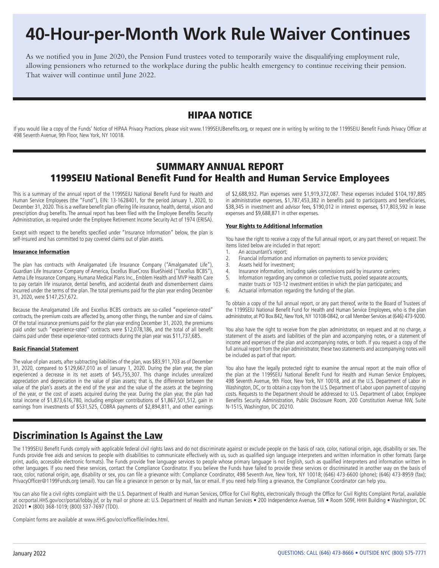## **40-Hour-per-Month Work Rule Waiver Continues**

As we notified you in June 2020, the Pension Fund trustees voted to temporarily waive the disqualifying employment rule, allowing pensioners who returned to the workplace during the public health emergency to continue receiving their pension. That waiver will continue until June 2022.

### HIPAA NOTICE

If you would like a copy of the Funds' Notice of HIPAA Privacy Practices, please visit www.1199SEIUBenefits.org, or request one in writing by writing to the 1199SEIU Benefit Funds Privacy Officer at 498 Seventh Avenue, 9th Floor, New York, NY 10018.

### SUMMARY ANNUAL REPORT 1199SEIU National Benefit Fund for Health and Human Service Employees

This is a summary of the annual report of the 1199SEIU National Benefit Fund for Health and Human Service Employees (the "Fund"), EIN: 13-1628401, for the period January 1, 2020, to December 31, 2020. This is a welfare benefit plan offering life insurance, health, dental, vision and prescription drug benefits. The annual report has been filed with the Employee Benefits Security Administration, as required under the Employee Retirement Income Security Act of 1974 (ERISA).

Except with respect to the benefits specified under "Insurance Information" below, the plan is self-insured and has committed to pay covered claims out of plan assets.

#### Insurance Information

The plan has contracts with Amalgamated Life Insurance Company ("Amalgamated Life"), Guardian Life Insurance Company of America, Excellus BlueCross BlueShield ("Excellus BCBS"), Aetna Life Insurance Company, Humana Medical Plans Inc., Emblem Health and MVP Health Care to pay certain life insurance, dental benefits, and accidental death and dismemberment claims incurred under the terms of the plan. The total premiums paid for the plan year ending December 31, 2020, were \$147,257,672.

Because the Amalgamated Life and Excellus BCBS contracts are so-called "experience-rated" contracts, the premium costs are affected by, among other things, the number and size of claims. Of the total insurance premiums paid for the plan year ending December 31, 2020, the premiums paid under such "experience-rated" contracts were \$12,078,186, and the total of all benefit claims paid under these experience-rated contracts during the plan year was \$11,737,685.

#### Basic Financial Statement

The value of plan assets, after subtracting liabilities of the plan, was \$83,911,703 as of December 31, 2020, compared to \$129,667,010 as of January 1, 2020. During the plan year, the plan experienced a decrease in its net assets of \$45,755,307. This change includes unrealized appreciation and depreciation in the value of plan assets; that is, the difference between the value of the plan's assets at the end of the year and the value of the assets at the beginning of the year, or the cost of assets acquired during the year. During the plan year, the plan had total income of \$1,873,616,780, including employer contributions of \$1,867,501,512, gain in earnings from investments of \$531,525, COBRA payments of \$2,894,811, and other earnings

of \$2,688,932. Plan expenses were \$1,919,372,087. These expenses included \$104,197,885 in administrative expenses, \$1,787,453,382 in benefits paid to participants and beneficiaries, \$38,345 in investment and advisor fees, \$190,012 in interest expenses, \$17,803,592 in lease expenses and \$9,688,871 in other expenses.

#### Your Rights to Additional Information

You have the right to receive a copy of the full annual report, or any part thereof, on request. The items listed below are included in that report:<br>1. An accountant's report:

- An accountant's report;
- 2. Financial information and information on payments to service providers;
- 3. Assets held for investment;<br>4. Insurance information. inclu
- 4. Insurance information, including sales commissions paid by insurance carriers;<br>5. Information regarding any common or collective trusts, pooled separate accour
- Information regarding any common or collective trusts, pooled separate accounts,
- master trusts or 103-12 investment entities in which the plan participates; and<br>6. Actuarial information regarding the funding of the plan
- Actuarial information regarding the funding of the plan.

To obtain a copy of the full annual report, or any part thereof, write to the Board of Trustees of the 1199SEIU National Benefit Fund for Health and Human Service Employees, who is the plan administrator, at PO Box 842, New York, NY 10108-0842, or call Member Services at (646) 473-9200.

You also have the right to receive from the plan administrator, on request and at no charge, a statement of the assets and liabilities of the plan and accompanying notes, or a statement of income and expenses of the plan and accompanying notes, or both. If you request a copy of the full annual report from the plan administrator, these two statements and accompanying notes will be included as part of that report.

You also have the legally protected right to examine the annual report at the main office of the plan at the 1199SEIU National Benefit Fund for Health and Human Service Employees, 498 Seventh Avenue, 9th Floor, New York, NY 10018, and at the U.S. Department of Labor in Washington, DC, or to obtain a copy from the U.S. Department of Labor upon payment of copying costs. Requests to the Department should be addressed to: U.S. Department of Labor, Employee Benefits Security Administration, Public Disclosure Room, 200 Constitution Avenue NW, Suite N-1515, Washington, DC 20210.

### Discrimination Is Against the Law

The 1199SEIU Benefit Funds comply with applicable federal civil rights laws and do not discriminate against or exclude people on the basis of race, color, national origin, age, disability or sex. The Funds provide free aids and services to people with disabilities to communicate effectively with us, such as qualified sign language interpreters and written information in other formats (large print, audio, accessible electronic formats). The Funds provide free language services to people whose primary language is not English, such as qualified interpreters and information written in other languages. If you need these services, contact the Compliance Coordinator. If you believe the Funds have failed to provide these services or discriminated in another way on the basis of race, color, national origin, age, disability or sex, you can file a grievance with: Compliance Coordinator, 498 Seventh Ave, New York, NY 10018; (646) 473-6600 (phone); (646) 473-8959 (fax); PrivacyOfficer@1199Funds.org (email). You can file a grievance in person or by mail, fax or email. If you need help filing a grievance, the Compliance Coordinator can help you.

You can also file a civil rights complaint with the U.S. Department of Health and Human Services, Office for Civil Rights, electronically through the Office for Civil Rights Complaint Portal, available at ocrportal.HHS.gov/ocr/portal/lobby.jsf, or by mail or phone at: U.S. Department of Health and Human Services • 200 Independence Avenue, SW • Room 509F, HHH Building • Washington, DC 20201 • (800) 368-1019; (800) 537-7697 (TDD).

Complaint forms are available at www.HHS.gov/ocr/office/file/index.html.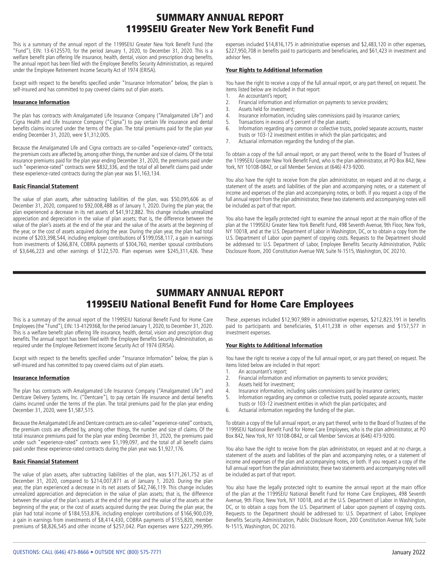### SUMMARY ANNUAL REPORT 1199SEIU Greater New York Benefit Fund

This is a summary of the annual report of the 1199SEIU Greater New York Benefit Fund (the "Fund"), EIN: 13-6125570, for the period January 1, 2020, to December 31, 2020. This is a welfare benefit plan offering life insurance, health, dental, vision and prescription drug benefits. The annual report has been filed with the Employee Benefits Security Administration, as required under the Employee Retirement Income Security Act of 1974 (ERISA).

Except with respect to the benefits specified under "Insurance Information" below, the plan is self-insured and has committed to pay covered claims out of plan assets.

#### Insurance Information

The plan has contracts with Amalgamated Life Insurance Company ("Amalgamated Life") and Cigna Health and Life Insurance Company ("Cigna") to pay certain life insurance and dental benefits claims incurred under the terms of the plan. The total premiums paid for the plan year ending December 31, 2020, were \$1,312,005.

Because the Amalgamated Life and Cigna contracts are so-called "experience-rated" contracts, the premium costs are affected by, among other things, the number and size of claims. Of the total insurance premiums paid for the plan year ending December 31, 2020, the premiums paid under such "experience-rated" contracts were \$832,336, and the total of all benefit claims paid under these experience-rated contracts during the plan year was \$1,163,134.

#### Basic Financial Statement

The value of plan assets, after subtracting liabilities of the plan, was \$50,095,606 as of December 31, 2020, compared to \$92,008,488 as of January 1, 2020. During the plan year, the plan experienced a decrease in its net assets of \$41,912,882. This change includes unrealized appreciation and depreciation in the value of plan assets; that is, the difference between the value of the plan's assets at the end of the year and the value of the assets at the beginning of the year, or the cost of assets acquired during the year. During the plan year, the plan had total income of \$203,398,544, including employer contributions of \$199,058,117, a gain in earnings from investments of \$266,874, COBRA payments of \$304,760, member spousal contributions of \$3,646,223 and other earnings of \$122,570. Plan expenses were \$245,311,426. These

expenses included \$14,816,175 in administrative expenses and \$2,483,120 in other expenses, \$227,950,708 in benefits paid to participants and beneficiaries, and \$61,423 in investment and advisor fees.

#### Your Rights to Additional Information

You have the right to receive a copy of the full annual report, or any part thereof, on request. The items listed below are included in that report:

- 1. An accountant's report;<br>2. Financial information are
- 2. Financial information and information on payments to service providers;<br>3. Assets held for investment:
- 3. Assets held for investment;<br>4. Insurance information, inclu
- 4. Insurance information, including sales commissions paid by insurance carriers;<br>5. Transactions in excess of 5 percent of the plan assets:
- Transactions in excess of 5 percent of the plan assets;
- 6. Information regarding any common or collective trusts, pooled separate accounts, master trusts or 103-12 investment entities in which the plan participates; and<br>The Actuarial information regarding the funding of the plan
- Actuarial information regarding the funding of the plan.

To obtain a copy of the full annual report, or any part thereof, write to the Board of Trustees of the 1199SEIU Greater New York Benefit Fund, who is the plan administrator, at PO Box 842, New York, NY 10108-0842, or call Member Services at (646) 473-9200.

You also have the right to receive from the plan administrator, on request and at no charge, a statement of the assets and liabilities of the plan and accompanying notes, or a statement of income and expenses of the plan and accompanying notes, or both. If you request a copy of the full annual report from the plan administrator, these two statements and accompanying notes will be included as part of that report.

You also have the legally protected right to examine the annual report at the main office of the plan at the 1199SEIU Greater New York Benefit Fund, 498 Seventh Avenue, 9th Floor, New York, NY 10018, and at the U.S. Department of Labor in Washington, DC, or to obtain a copy from the U.S. Department of Labor upon payment of copying costs. Requests to the Department should be addressed to: U.S. Department of Labor, Employee Benefits Security Administration, Public Disclosure Room, 200 Constitution Avenue NW, Suite N-1515, Washington, DC 20210.

## SUMMARY ANNUAL REPORT 1199SEIU National Benefit Fund for Home Care Employees

This is a summary of the annual report of the 1199SEIU National Benefit Fund for Home Care Employees (the "Fund"), EIN: 13-4129368, for the period January 1, 2020, to December 31, 2020. This is a welfare benefit plan offering life insurance, health, dental, vision and prescription drug benefits. The annual report has been filed with the Employee Benefits Security Administration, as required under the Employee Retirement Income Security Act of 1974 (ERISA).

Except with respect to the benefits specified under "Insurance Information" below, the plan is self-insured and has committed to pay covered claims out of plan assets.

#### Insurance Information

The plan has contracts with Amalgamated Life Insurance Company ("Amalgamated Life") and Dentcare Delivery Systems, Inc. ("Dentcare"), to pay certain life insurance and dental benefits claims incurred under the terms of the plan. The total premiums paid for the plan year ending December 31, 2020, were \$1,587,515.

Because the Amalgamated Life and Dentcare contracts are so-called "experience-rated" contracts, the premium costs are affected by, among other things, the number and size of claims. Of the total insurance premiums paid for the plan year ending December 31, 2020, the premiums paid under such "experience-rated" contracts were \$1,199,097, and the total of all benefit claims paid under these experience-rated contracts during the plan year was \$1,927,176.

#### Basic Financial Statement

The value of plan assets, after subtracting liabilities of the plan, was \$171,261,752 as of December 31, 2020, compared to \$214,007,871 as of January 1, 2020. During the plan year, the plan experienced a decrease in its net assets of \$42,746,119. This change includes unrealized appreciation and depreciation in the value of plan assets; that is, the difference between the value of the plan's assets at the end of the year and the value of the assets at the beginning of the year, or the cost of assets acquired during the year. During the plan year, the plan had total income of \$184,553,876, including employer contributions of \$166,900,039, a gain in earnings from investments of \$8,414,430, COBRA payments of \$155,820, member premiums of \$8,826,545 and other income of \$257,042. Plan expenses were \$227,299,995.

These ,expenses included \$12,907,989 in administrative expenses, \$212,823,191 in benefits paid to participants and beneficiaries, \$1,411,238 in other expenses and \$157,577 in investment expenses.

#### Your Rights to Additional Information

You have the right to receive a copy of the full annual report, or any part thereof, on request. The items listed below are included in that report:<br>1. An accountant's report;

- 1. An accountant's report;<br>2. Financial information are
- 2. Financial information and information on payments to service providers;
- 3. Assets held for investment;<br>4. Insurance information. inclu
- 4. Insurance information, including sales commissions paid by insurance carriers;<br>5. Information regarding any common or collective trusts, pooled separate accoun
- Information regarding any common or collective trusts, pooled separate accounts, master trusts or 103-12 investment entities in which the plan participates; and<br>6. Actuarial information regarding the funding of the plan
- Actuarial information regarding the funding of the plan.

To obtain a copy of the full annual report, or any part thereof, write to the Board of Trustees of the 1199SEIU National Benefit Fund for Home Care Employees, who is the plan administrator, at PO Box 842, New York, NY 10108-0842, or call Member Services at (646) 473-9200.

You also have the right to receive from the plan administrator, on request and at no charge, a statement of the assets and liabilities of the plan and accompanying notes, or a statement of income and expenses of the plan and accompanying notes, or both. If you request a copy of the full annual report from the plan administrator, these two statements and accompanying notes will be included as part of that report.

You also have the legally protected right to examine the annual report at the main office of the plan at the 1199SEIU National Benefit Fund for Home Care Employees, 498 Seventh Avenue, 9th Floor, New York, NY 10018, and at the U.S. Department of Labor in Washington, DC, or to obtain a copy from the U.S. Department of Labor upon payment of copying costs. Requests to the Department should be addressed to: U.S. Department of Labor, Employee Benefits Security Administration, Public Disclosure Room, 200 Constitution Avenue NW, Suite N-1515, Washington, DC 20210.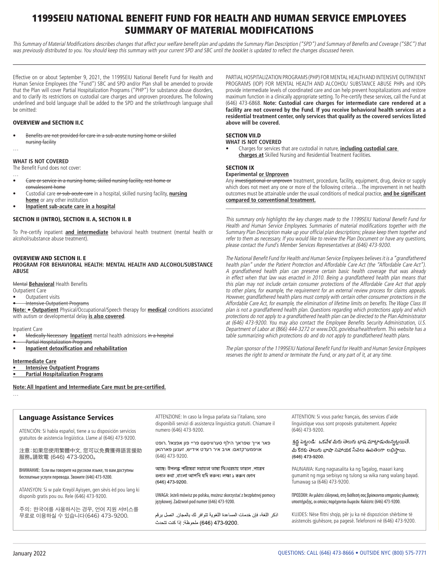## 1199SEIU NATIONAL BENEFIT FUND FOR HEALTH AND HUMAN SERVICE EMPLOYEES SUMMARY OF MATERIAL MODIFICATIONS

This Summary of Material Modifications describes changes that affect your welfare benefit plan and updates the Summary Plan Description ("SPD") and Summary of Benefits and Coverage ("SBC") that was previously distributed to you. You should keep this summary with your current SPD and SBC until the booklet is updated to reflect the changes discussed herein.

Effective on or about September 9, 2021, the 1199SEIU National Benefit Fund for Health and Human Service Employees (the "Fund") SBC and SPD and/or Plan shall be amended to provide that the Plan will cover Partial Hospitalization Programs ("PHP") for substance abuse disorders, and to clarify its restrictions on custodial care charges and unproven procedures. The following underlined and bold language shall be added to the SPD and the strikethrough language shall be omitted:

#### OVERVIEW and SECTION II.C

• Benefits are not provided for care in a sub-acute nursing home or skilled nursing facility

#### **WHAT IS NOT COVERED**

…

The Benefit Fund does not cover:

- … • Care or service in a nursing home, skilled nursing facility, rest home or convalescent home
- Custodial care or sub-acute care in a hospital, skilled nursing facility, **nursing home** or any other institution
- **Inpatient sub-acute care in a hospital**

#### SECTION II (INTRO), SECTION II. A, SECTION II. B

To Pre-certify inpatient **and intermediate** behavioral health treatment (mental health or alcohol/substance abuse treatment).

#### OVERVIEW AND SECTION II. E

**PROGRAM FOR BEHAVIORAL HEALTH: MENTAL HEALTH AND ALCOHOL/SUBSTANCE ABUSE**

Mental **Behavioral** Health Benefits

Outpatient Care

• Outpatient visits

• Intensive Outpatient Programs

**Note:** • **Outpatient** Physical/Occupational/Speech therapy for **medical** conditions associated with autism or developmental delay **is also covered**.

Inpatient Care

- Medically Necessary **Inpatient** mental health admissions in a hospital
- Partial Hospitalization Programs
- **Inpatient detoxification and rehabilitation**

#### **Intermediate Care**

- **Intensive Outpatient Programs**
- **Partial Hospitalization Programs**

**Note: All Inpatient and Intermediate Care must be pre-certified.** …

#### Language Assistance Services

ATENCIÓN: Si habla español, tiene a su disposición servicios gratuitos de asistencia lingüística. Llame al (646) 473-9200.

注意:如果您使用繁體中文,您可以免費獲得語言援助 服務。請致電 (646) 473-9200。

ВНИМАНИЕ: Если вы говорите на русском языке, то вам доступны бесплатные услуги перевода. Звоните (646) 473-9200.

ATANSYON: Si w pale Kreyòl Ayisyen, gen sèvis èd pou lang ki disponib gratis pou ou. Rele (646) 473-9200.

주의: 한국어를 사용하시는 경우, 언어 지원 서비스를 무료로 이용하실 수 있습니다(646) 473-9200.

ATTENZIONE: In caso la lingua parlata sia l'italiano, sono disponibili servizi di assistenza linguistica gratuiti. Chiamare il numero (646) 473-9200.

 פאר אייך שפראך הילף סערוויסעס פריי פון אפצאל .רופט אויפמערקזאם: אויב איר רעדט אידיש, זענען פארהאן (646) 473-9200.

আছে। উপলব্ধ পরিষেরা সহায়তা ভাষা নিংখনচায় তাহলে পারেন বলতে কথা ,বাংলা আপনি যদি করুনঃ লক্ষ্য ১ করুন ফোন (646) 473-9200.

UWAGA: Jeżeli mówisz po polsku, możesz skorzystać z bezpłatnej pomocy językowej. Zadzwoń pod numer (646) 473-9200.

اذكر اللغة، فإن خدمات المساعدة اللغوية تتوافر لك بالمجان. اتصل برقم .473-9200 (646) ملحوظة: إذا كنت تتحدث

PARTIAL HOSPITALIZATION PROGRAMS (PHP) FOR MENTAL HEALTH AND INTENSIVE OUTPATIENT PROGRAMS (IOP) FOR MENTAL HEALTH AND ALCOHOL/ SUBSTANCE ABUSE PHPs and IOPs provide intermediate levels of coordinated care and can help prevent hospitalizations and restore maximum function in a clinically appropriate setting. To Pre-certify these services, call the Fund at (646) 473-6868. **Note: Custodial care charges for intermediate care rendered at a facility are not covered by the Fund. If you receive behavioral health services at a residential treatment center, only services that qualify as the covered services listed above will be covered.**

#### SECTION VII.D

#### **WHAT IS NOT COVERED**

• Charges for services that are custodial in nature, **including custodial care charges at** Skilled Nursing and Residential Treatment Facilities.

#### SECTION IX

#### **Experimental or Unproven**

Any investigational or unproven treatment, procedure, facility, equipment, drug, device or supply which does not meet any one or more of the following criteria…The improvement in net health outcomes must be attainable under the usual conditions of medical practice, **and be significant compared to conventional treatment.** \_\_\_\_\_\_\_\_\_\_\_\_\_\_\_\_\_\_\_\_\_\_\_\_\_\_\_\_\_\_\_\_\_\_\_\_\_\_\_\_\_\_\_\_\_\_\_\_\_\_\_\_\_\_\_\_\_\_\_\_\_\_\_\_\_\_\_\_\_

This summary only highlights the key changes made to the 1199SEIU National Benefit Fund for Health and Human Service Employees. Summaries of material modifications together with the Summary Plan Description make up your official plan descriptions; please keep them together and refer to them as necessary. If you would like to review the Plan Document or have any questions, please contact the Fund's Member Services Representatives at (646) 473-9200.

The National Benefit Fund for Health and Human Service Employees believes it is a "grandfathered health plan" under the Patient Protection and Affordable Care Act (the "Affordable Care Act"). A grandfathered health plan can preserve certain basic health coverage that was already in effect when that law was enacted in 2010. Being a grandfathered health plan means that this plan may not include certain consumer protections of the Affordable Care Act that apply to other plans, for example, the requirement for an external review process for claims appeals. However, grandfathered health plans must comply with certain other consumer protections in the Affordable Care Act, for example, the elimination of lifetime limits on benefits. The Wage Class III plan is not a grandfathered health plan. Questions regarding which protections apply and which protections do not apply to a grandfathered health plan can be directed to the Plan Administrator at (646) 473-9200. You may also contact the Employee Benefits Security Administration, U.S. Department of Labor at (866) 444-3272 or www.DOL.gov/ebsa/healthreform. This website has a table summarizing which protections do and do not apply to grandfathered health plans.

The plan sponsor of the 1199SEIU National Benefit Fund for Health and Human Service Employees reserves the right to amend or terminate the Fund, or any part of it, at any time.

> ATTENTION: Si vous parlez français, des services d'aide linguistique vous sont proposés gratuitement. Appelez (646) 473-9200.

శ్రద్ధ పెట్టండి: ఒకవేళ మీరు తెలుగు భాష మాట్లాడుతున్నట్లయితే, మీ కొరకు తెలుగు భాషా సహాయక సేవలు ఉచితంగా లభిస్తాయి. (646) 473-9200

PAUNAWA: Kung nagsasalita ka ng Tagalog, maaari kang gumamit ng mga serbisyo ng tulong sa wika nang walang bayad. Tumawag sa (646) 473-9200.

ΠΡΟΣΟΧΗ: Αν μιλάτε ελληνικά, στη διάθεσή σας βρίσκονται υπηρεσίες γλωσσικής υποστήριξης, οι οποίες παρέχονται δωρεάν. Καλέστε (646) 473-9200.

KUJDES: Nëse flitni shqip, për ju ka në dispozicion shërbime të asistencës gjuhësore, pa pagesë. Telefononi në (646) 473-9200.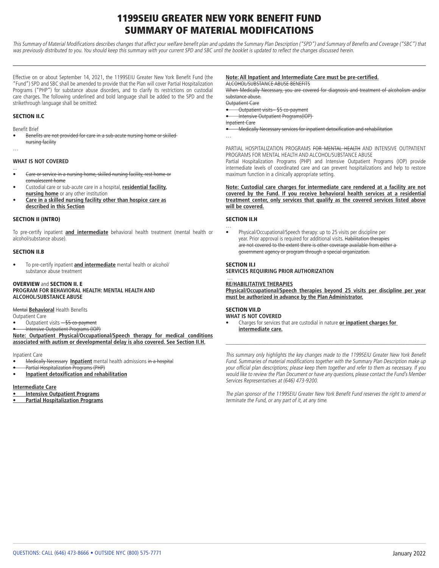## 1199SEIU GREATER NEW YORK BENEFIT FUND SUMMARY OF MATERIAL MODIFICATIONS

This Summary of Material Modifications describes changes that affect your welfare benefit plan and updates the Summary Plan Description ("SPD") and Summary of Benefits and Coverage ("SBC") that was previously distributed to you. You should keep this summary with your current SPD and SBC until the booklet is updated to reflect the changes discussed herein.

Effective on or about September 14, 2021, the 1199SEIU Greater New York Benefit Fund (the "Fund") SPD and SBC shall be amended to provide that the Plan will cover Partial Hospitalization Programs ("PHP") for substance abuse disorders, and to clarify its restrictions on custodial care charges. The following underlined and bold language shall be added to the SPD and the strikethrough language shall be omitted:

#### SECTION II.C

Benefit Brief

…

• Benefits are not provided for care in a sub-acute nursing home or skilled nursing facility

#### **WHAT IS NOT COVERED**

- ... • Care or service in a nursing home, skilled nursing facility, rest home or convalescent home
- Custodial care or sub-acute care in a hospital, **residential facility, nursing home** or any other institution
- **Care in a skilled nursing facility other than hospice care as described in this Section**

#### SECTION II (INTRO)

To pre-certify inpatient **and intermediate** behavioral health treatment (mental health or alcohol/substance abuse).

#### SECTION II.B

• To pre-certify inpatient **and intermediate** mental health or alcohol/ substance abuse treatment

#### OVERVIEW and SECTION II. E **PROGRAM FOR BEHAVIORAL HEALTH: MENTAL HEALTH AND ALCOHOL/SUBSTANCE ABUSE**

#### Mental **Behavioral** Health Benefits

Outpatient Care

- Outpatient visits \$5 co-payment
- Intensive Outpatient Programs (IOP)

**Note: Outpatient Physical/Occupational/Speech therapy for medical conditions associated with autism or developmental delay is also covered. See Section II.H.**

Inpatient Care

- Medically Necessary **Inpatient** mental health admissions in a hospital
- Partial Hospitalization Programs (PHP)
- **Inpatient detoxification and rehabilitation**

**Intermediate Care**

- **Intensive Outpatient Programs**
- **Partial Hospitalization Programs**

#### **Note: All Inpatient and Intermediate Care must be pre-certified.** ALCOHOL/SUBSTANCE ABUSE BENEFITS

When Medically Necessary, you are covered for diagnosis and treatment of alcoholism and/or

substance abuse.

- Outpatient Care
- Outpatient visits– \$5 co-payment • Intensive Outpatient Programs(IOP)

Inpatient Care

- Medically Necessary services for inpatient detoxification and rehabilitation
- …

PARTIAL HOSPITALIZATION PROGRAMS FOR MENTAL HEALTH AND INTENSIVE OUTPATIENT PROGRAMS FOR MENTAL HEALTH AND ALCOHOL/SUBSTANCE ABUSE

Partial Hospitalization Programs (PHP) and Intensive Outpatient Programs (IOP) provide intermediate levels of coordinated care and can prevent hospitalizations and help to restore maximum function in a clinically appropriate setting.

#### **Note: Custodial care charges for intermediate care rendered at a facility are not covered by the Fund. If you receive behavioral health services at a residential treatment center, only services that qualify as the covered services listed above will be covered.**

#### SECTION II.H

… • Physical/Occupational/Speech therapy: up to 25 visits per discipline per year. Prior approval is required for additional visits. Habilitation therapies are not covered to the extent there is other coverage available from either a government agency or program through a special organization.

#### SECTION II.I

**SERVICES REQUIRING PRIOR AUTHORIZATION**

#### … **RE/HABILITATIVE THERAPIES**

**Physical/Occupational/Speech therapies beyond 25 visits per discipline per year must be authorized in advance by the Plan Administrator.**

#### SECTION VII.D

#### **WHAT IS NOT COVERED**

• Charges for services that are custodial in nature **or inpatient charges for intermediate care.** 

This summary only highlights the key changes made to the 1199SEIU Greater New York Benefit Fund. Summaries of material modifications together with the Summary Plan Description make up your official plan descriptions; please keep them together and refer to them as necessary. If you would like to review the Plan Document or have any questions, please contact the Fund's Member Services Representatives at (646) 473-9200.

\_\_\_\_\_\_\_\_\_\_\_\_\_\_\_\_\_\_\_\_\_\_\_\_\_\_\_\_\_\_\_\_\_\_\_\_\_\_\_\_\_\_\_\_\_\_\_\_\_\_\_\_\_\_\_\_\_\_\_\_\_\_\_\_\_\_\_\_\_

The plan sponsor of the 1199SEIU Greater New York Benefit Fund reserves the right to amend or terminate the Fund, or any part of it, at any time.